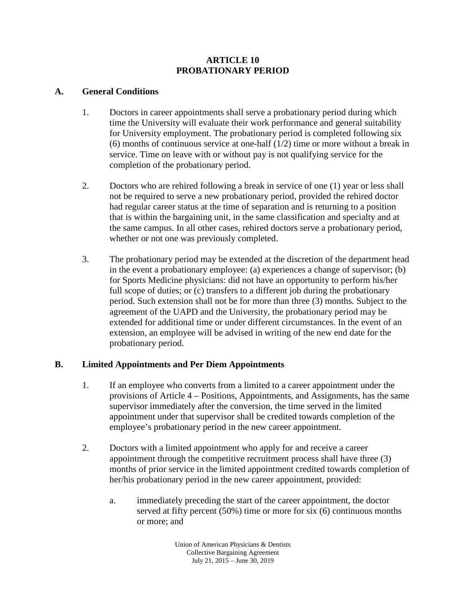## **ARTICLE 10 PROBATIONARY PERIOD**

## **A. General Conditions**

- 1. Doctors in career appointments shall serve a probationary period during which time the University will evaluate their work performance and general suitability for University employment. The probationary period is completed following six  $(6)$  months of continuous service at one-half  $(1/2)$  time or more without a break in service. Time on leave with or without pay is not qualifying service for the completion of the probationary period.
- 2. Doctors who are rehired following a break in service of one (1) year or less shall not be required to serve a new probationary period, provided the rehired doctor had regular career status at the time of separation and is returning to a position that is within the bargaining unit, in the same classification and specialty and at the same campus. In all other cases, rehired doctors serve a probationary period, whether or not one was previously completed.
- 3. The probationary period may be extended at the discretion of the department head in the event a probationary employee: (a) experiences a change of supervisor; (b) for Sports Medicine physicians: did not have an opportunity to perform his/her full scope of duties; or (c) transfers to a different job during the probationary period. Such extension shall not be for more than three (3) months. Subject to the agreement of the UAPD and the University, the probationary period may be extended for additional time or under different circumstances. In the event of an extension, an employee will be advised in writing of the new end date for the probationary period.

# **B. Limited Appointments and Per Diem Appointments**

- 1. If an employee who converts from a limited to a career appointment under the provisions of Article 4 – Positions, Appointments, and Assignments, has the same supervisor immediately after the conversion, the time served in the limited appointment under that supervisor shall be credited towards completion of the employee's probationary period in the new career appointment.
- 2. Doctors with a limited appointment who apply for and receive a career appointment through the competitive recruitment process shall have three (3) months of prior service in the limited appointment credited towards completion of her/his probationary period in the new career appointment, provided:
	- a. immediately preceding the start of the career appointment, the doctor served at fifty percent (50%) time or more for six (6) continuous months or more; and